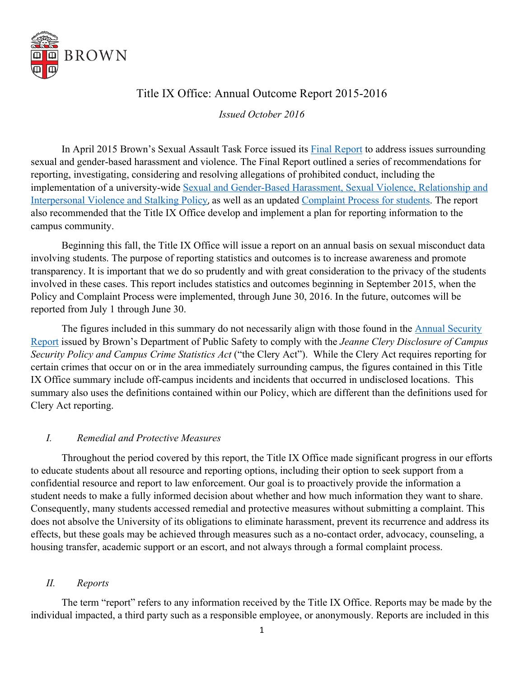

# Title IX Office: Annual Outcome Report 2015-2016

*Issued October 2016*

In April 2015 Brown's Sexual Assault Task Force issued its [Final Report](https://www.brown.edu/web/documents/president/SATF-Final-Report.pdf) to address issues surrounding sexual and gender-based harassment and violence. The Final Report outlined a series of recommendations for reporting, investigating, considering and resolving allegations of prohibited conduct, including the implementation of a university-wide [Sexual and Gender-Based Harassment, Sexual Violence, Relationship and](https://www.brown.edu/about/administration/title-ix/policy)  [Interpersonal Violence and Stalking Policy](https://www.brown.edu/about/administration/title-ix/policy), as well as an updated [Complaint Process for students.](https://www.brown.edu/about/administration/title-ix/sites/brown.edu.about.administration.title-ix/files/uploads/complaint-process-final-sept-16.pdf) The report also recommended that the Title IX Office develop and implement a plan for reporting information to the campus community.

Beginning this fall, the Title IX Office will issue a report on an annual basis on sexual misconduct data involving students. The purpose of reporting statistics and outcomes is to increase awareness and promote transparency. It is important that we do so prudently and with great consideration to the privacy of the students involved in these cases. This report includes statistics and outcomes beginning in September 2015, when the Policy and Complaint Process were implemented, through June 30, 2016. In the future, outcomes will be reported from July 1 through June 30.

The figures included in this summary do not necessarily align with those found in the Annual Security [Report is](https://www.brown.edu/about/administration/public-safety/crime-statistics-and-compliance)sued by Brown's Department of Public Safety to comply with the *Jeanne Clery Disclosure of Campus Security Policy and Campus Crime Statistics Act* ("the Clery Act"). While the Clery Act requires reporting for certain crimes that occur on or in the area immediately surrounding campus, the figures contained in this Title IX Office summary include off-campus incidents and incidents that occurred in undisclosed locations. This summary also uses the definitions contained within our Policy, which are different than the definitions used for Clery Act reporting.

### *I. Remedial and Protective Measures*

Throughout the period covered by this report, the Title IX Office made significant progress in our efforts to educate students about all resource and reporting options, including their option to seek support from a confidential resource and report to law enforcement. Our goal is to proactively provide the information a student needs to make a fully informed decision about whether and how much information they want to share. Consequently, many students accessed remedial and protective measures without submitting a complaint. This does not absolve the University of its obligations to eliminate harassment, prevent its recurrence and address its effects, but these goals may be achieved through measures such as a no-contact order, advocacy, counseling, a housing transfer, academic support or an escort, and not always through a formal complaint process.

## *II. Reports*

The term "report" refers to any information received by the Title IX Office. Reports may be made by the individual impacted, a third party such as a responsible employee, or anonymously. Reports are included in this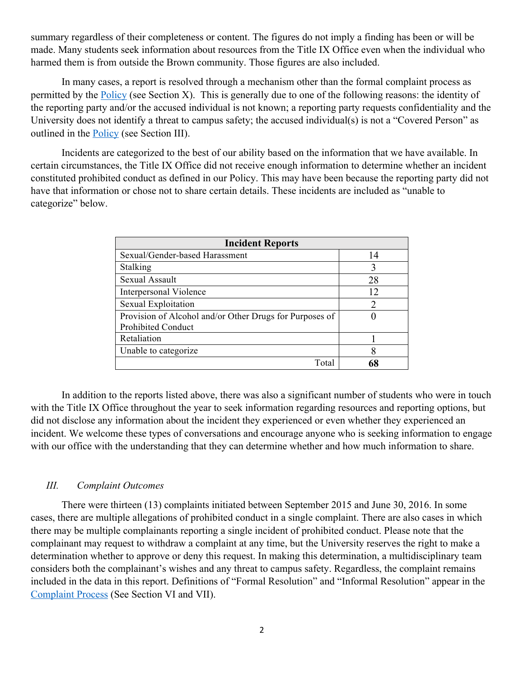summary regardless of their completeness or content. The figures do not imply a finding has been or will be made. Many students seek information about resources from the Title IX Office even when the individual who harmed them is from outside the Brown community. Those figures are also included.

In many cases, a report is resolved through a mechanism other than the formal complaint process as permitted by the [Policy \(](https://www.brown.edu/about/administration/title-ix/sites/brown.edu.about.administration.title-ix/files/uploads/policy-final-sept-16.pdf)see Section X). This is generally due to one of the following reasons: the identity of the reporting party and/or the accused individual is not known; a reporting party requests confidentiality and the University does not identify a threat to campus safety; the accused individual(s) is not a "Covered Person" as outlined in the [Policy \(](https://www.brown.edu/about/administration/title-ix/policy)see Section III).

Incidents are categorized to the best of our ability based on the information that we have available. In certain circumstances, the Title IX Office did not receive enough information to determine whether an incident constituted prohibited conduct as defined in our Policy. This may have been because the reporting party did not have that information or chose not to share certain details. These incidents are included as "unable to categorize" below.

| <b>Incident Reports</b>                                 |                             |
|---------------------------------------------------------|-----------------------------|
| Sexual/Gender-based Harassment                          | 14                          |
| Stalking                                                | 3                           |
| Sexual Assault                                          | 28                          |
| Interpersonal Violence                                  | 12                          |
| Sexual Exploitation                                     | $\mathcal{D}_{\mathcal{A}}$ |
| Provision of Alcohol and/or Other Drugs for Purposes of |                             |
| <b>Prohibited Conduct</b>                               |                             |
| Retaliation                                             |                             |
| Unable to categorize                                    | 8                           |
| Total                                                   | 68                          |

In addition to the reports listed above, there was also a significant number of students who were in touch with the Title IX Office throughout the year to seek information regarding resources and reporting options, but did not disclose any information about the incident they experienced or even whether they experienced an incident. We welcome these types of conversations and encourage anyone who is seeking information to engage with our office with the understanding that they can determine whether and how much information to share.

#### *III. Complaint Outcomes*

There were thirteen (13) complaints initiated between September 2015 and June 30, 2016. In some cases, there are multiple allegations of prohibited conduct in a single complaint. There are also cases in which there may be multiple complainants reporting a single incident of prohibited conduct. Please note that the complainant may request to withdraw a complaint at any time, but the University reserves the right to make a determination whether to approve or deny this request. In making this determination, a multidisciplinary team considers both the complainant's wishes and any threat to campus safety. Regardless, the complaint remains included in the data in this report. Definitions of "Formal Resolution" and "Informal Resolution" appear in the [Complaint Process](https://www.brown.edu/about/administration/title-ix/complaints) (See Section VI and VII).